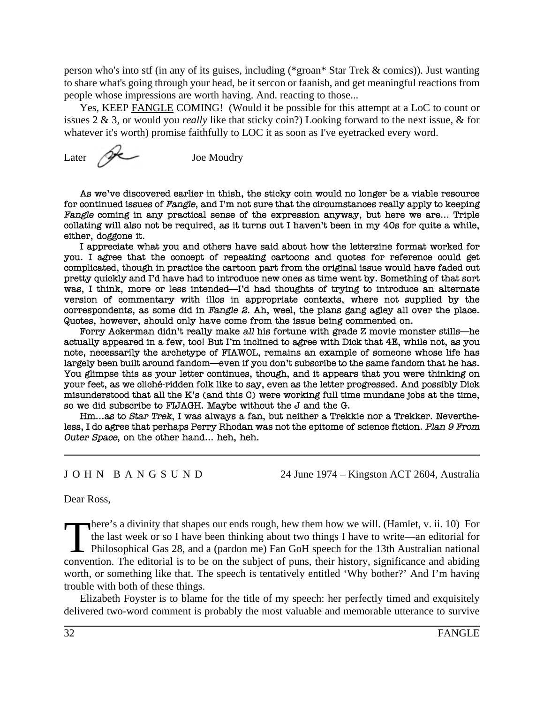person who's into stf (in any of its guises, including (\*groan\* Star Trek & comics)). Just wanting to share what's going through your head, be it sercon or faanish, and get meaningful reactions from people whose impressions are worth having. And. reacting to those...

Yes, KEEP FANGLE COMING! (Would it be possible for this attempt at a LoC to count or issues 2 & 3, or would you *really* like that sticky coin?) Looking forward to the next issue, & for whatever it's worth) promise faithfully to LOC it as soon as I've eyetracked every word.

Later  $\mathscr{P}$  Joe Moudry

As we've discovered earlier in thish, the sticky coin would no longer be a viable resource for continued issues of Fangle, and I'm not sure that the circumstances really apply to keeping Fangle coming in any practical sense of the expression anyway, but here we are... Triple collating will also not be required, as it turns out I haven't been in my 40s for quite a while, either, doggone it.

I appreciate what you and others have said about how the letterzine format worked for you. I agree that the concept of repeating cartoons and quotes for reference could get complicated, though in practice the cartoon part from the original issue would have faded out pretty quickly and I'd have had to introduce new ones as time went by. Something of that sort was, I think, more or less intended—I'd had thoughts of trying to introduce an alternate version of commentary with illos in appropriate contexts, where not supplied by the correspondents, as some did in Fangle 2. Ah, weel, the plans gang agley all over the place. Quotes, however, should only have come from the issue being commented on.

Forry Ackerman didn't really make all his fortune with grade Z movie monster stills—he actually appeared in a few, too! But I'm inclined to agree with Dick that 4E, while not, as you note, necessarily the archetype of FIAWOL, remains an example of someone whose life has largely been built around fandom—even if you don't subscribe to the same fandom that he has. You glimpse this as your letter continues, though, and it appears that you were thinking on your feet, as we cliché-ridden folk like to say, even as the letter progressed. And possibly Dick misunderstood that all the K's (and this C) were working full time mundane jobs at the time, so we did subscribe to FLJAGH. Maybe without the J and the G.

Hm...as to Star Trek, I was always a fan, but neither a Trekkie nor a Trekker. Nevertheless, I do agree that perhaps Perry Rhodan was not the epitome of science fiction. Plan 9 From Outer Space, on the other hand... heh, heh.

J O H N B A N G S U N D 24 June 1974 – Kingston ACT 2604, Australia

Dear Ross,

There's a divinity that shapes our ends rough, hew them how we will. (Hamlet, v. ii. 10) For the last week or so I have been thinking about two things I have to write—an editorial for Philosophical Gas 28, and a (pardon me) Fan GoH speech for the 13th Australian national convention. The editorial is to be on the subject of puns, their history, significance and abiding worth, or something like that. The speech is tentatively entitled 'Why bother?' And I'm having trouble with both of these things.

Elizabeth Foyster is to blame for the title of my speech: her perfectly timed and exquisitely delivered two-word comment is probably the most valuable and memorable utterance to survive